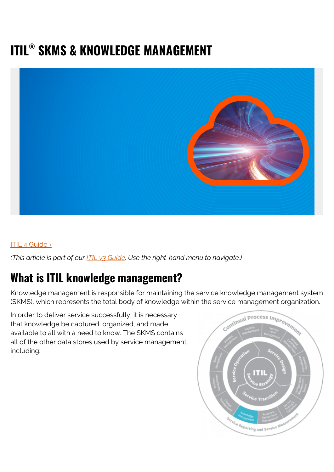# **ITIL® SKMS & KNOWLEDGE MANAGEMENT**



#### [ITIL 4 Guide ›](https://www.bmc.com/blogs/itil-4/)

*(This article is part of our [ITIL v3 Guide](https://blogs.bmc.com/blogs/itil-v3-introduction/). Use the right-hand menu to navigate.)*

#### **What is ITIL knowledge management?**

Knowledge management is responsible for maintaining the service knowledge management system (SKMS), which represents the total body of knowledge within the service management organization.

In order to deliver service successfully, it is necessary that knowledge be captured, organized, and made available to all with a need to know. The SKMS contains all of the other data stores used by service management, including:

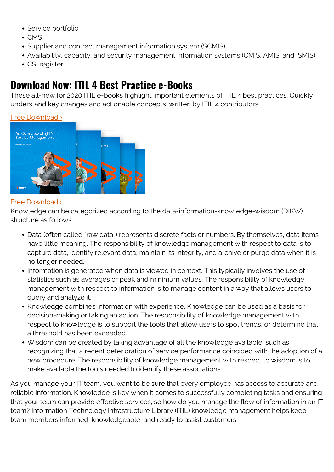- Service portfolio
- $\bullet$  CMS
- Supplier and contract management information system (SCMIS)
- Availability, capacity, and security management information systems (CMIS, AMIS, and ISMIS)
- CSI register

#### **Download Now: ITIL 4 Best Practice e-Books**

These all-new for 2020 ITIL e-books highlight important elements of ITIL 4 best practices. Quickly understand key changes and actionable concepts, written by ITIL 4 contributors.

#### [Free Download ›](https://www.bmc.com/forms/itil-free-ebook.html)



#### [Free Download ›](https://www.bmc.com/forms/itil-free-ebook.html)

Knowledge can be categorized according to the data-information-knowledge-wisdom (DIKW) structure as follows:

- Data (often called "raw data") represents discrete facts or numbers. By themselves, data items have little meaning. The responsibility of knowledge management with respect to data is to capture data, identify relevant data, maintain its integrity, and archive or purge data when it is no longer needed.
- Information is generated when data is viewed in context. This typically involves the use of statistics such as averages or peak and minimum values. The responsibility of knowledge management with respect to information is to manage content in a way that allows users to query and analyze it.
- Knowledge combines information with experience. Knowledge can be used as a basis for decision-making or taking an action. The responsibility of knowledge management with respect to knowledge is to support the tools that allow users to spot trends, or determine that a threshold has been exceeded.
- Wisdom can be created by taking advantage of all the knowledge available, such as recognizing that a recent deterioration of service performance coincided with the adoption of a new procedure. The responsibility of knowledge management with respect to wisdom is to make available the tools needed to identify these associations.

As you manage your IT team, you want to be sure that every employee has access to accurate and reliable information. Knowledge is key when it comes to successfully completing tasks and ensuring that your team can provide effective services, so how do you manage the flow of information in an IT team? Information Technology Infrastructure Library (ITIL) knowledge management helps keep team members informed, knowledgeable, and ready to assist customers.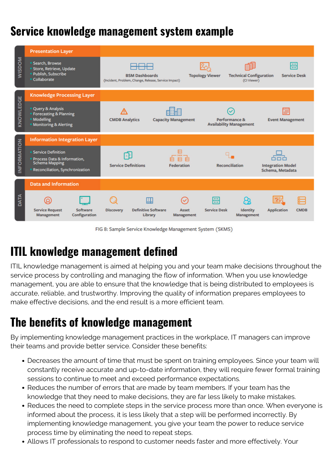## **Service knowledge management system example**

|               | <b>Presentation Layer</b>                                                                                       |                                                                               |                            |                                                 |                                              |
|---------------|-----------------------------------------------------------------------------------------------------------------|-------------------------------------------------------------------------------|----------------------------|-------------------------------------------------|----------------------------------------------|
| <b>WISDOM</b> | Search, Browse<br>Store, Retrieve, Update<br>Publish, Subscribe<br>• Collaborate                                | <b>BSM Dashboards</b><br>(Incident, Problem, Change, Release, Service Impact) | <b>Topology Viewer</b>     | <b>Technical Configuration</b><br>(CI Viewer)   | <b>Service Desk</b>                          |
| KNOWLEDGE     | <b>Knowledge Processing Layer</b>                                                                               |                                                                               |                            |                                                 |                                              |
|               | • Query & Analysis<br><b>Forecasting &amp; Planning</b><br><b>Modelling</b><br><b>Monitoring &amp; Alerting</b> | <b>CMDB Analytics</b>                                                         | <b>Capacity Management</b> | Performance &<br><b>Availability Management</b> | æ<br><b>Event Management</b>                 |
|               |                                                                                                                 |                                                                               |                            |                                                 |                                              |
|               | <b>Information Integration Layer</b>                                                                            |                                                                               |                            |                                                 |                                              |
| INFORMATION   | · Service Definition<br>Process Data & Information,<br><b>Schema Mapping</b><br>Reconciliation, Synchronization | <b>Service Definitions</b>                                                    | <b>Federation</b>          | <b>Reconciliation</b>                           | <b>Integration Model</b><br>Schema, Metadata |
|               | <b>Data and Information</b>                                                                                     |                                                                               |                            |                                                 |                                              |

FIG 8: Sample Service Knowledge Management System (SKMS)

# **ITIL knowledge management defined**

ITIL knowledge management is aimed at helping you and your team make decisions throughout the service process by controlling and managing the flow of information. When you use knowledge management, you are able to ensure that the knowledge that is being distributed to employees is accurate, reliable, and trustworthy. Improving the quality of information prepares employees to make effective decisions, and the end result is a more efficient team.

## **The benefits of knowledge management**

By implementing knowledge management practices in the workplace, IT managers can improve their teams and provide better service. Consider these benefits:

- Decreases the amount of time that must be spent on training employees. Since your team will constantly receive accurate and up-to-date information, they will require fewer formal training sessions to continue to meet and exceed performance expectations.
- Reduces the number of errors that are made by team members. If your team has the knowledge that they need to make decisions, they are far less likely to make mistakes.
- Reduces the need to complete steps in the service process more than once. When everyone is informed about the process, it is less likely that a step will be performed incorrectly. By implementing knowledge management, you give your team the power to reduce service process time by eliminating the need to repeat steps.
- Allows IT professionals to respond to customer needs faster and more effectively. Your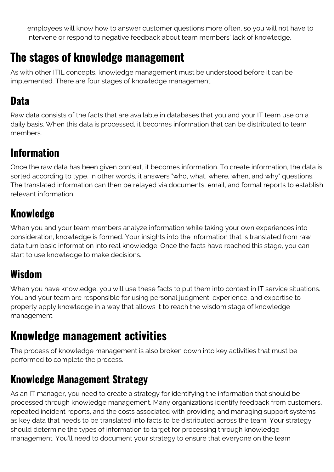employees will know how to answer customer questions more often, so you will not have to intervene or respond to negative feedback about team members' lack of knowledge.

## **The stages of knowledge management**

As with other ITIL concepts, knowledge management must be understood before it can be implemented. There are four stages of knowledge management.

#### **Data**

Raw data consists of the facts that are available in databases that you and your IT team use on a daily basis. When this data is processed, it becomes information that can be distributed to team members.

#### **Information**

Once the raw data has been given context, it becomes information. To create information, the data is sorted according to type. In other words, it answers "who, what, where, when, and why" questions. The translated information can then be relayed via documents, email, and formal reports to establish relevant information.

### **Knowledge**

When you and your team members analyze information while taking your own experiences into consideration, knowledge is formed. Your insights into the information that is translated from raw data turn basic information into real knowledge. Once the facts have reached this stage, you can start to use knowledge to make decisions.

## **Wisdom**

When you have knowledge, you will use these facts to put them into context in IT service situations. You and your team are responsible for using personal judgment, experience, and expertise to properly apply knowledge in a way that allows it to reach the wisdom stage of knowledge management.

## **Knowledge management activities**

The process of knowledge management is also broken down into key activities that must be performed to complete the process.

### **Knowledge Management Strategy**

As an IT manager, you need to create a strategy for identifying the information that should be processed through knowledge management. Many organizations identify feedback from customers, repeated incident reports, and the costs associated with providing and managing support systems as key data that needs to be translated into facts to be distributed across the team. Your strategy should determine the types of information to target for processing through knowledge management. You'll need to document your strategy to ensure that everyone on the team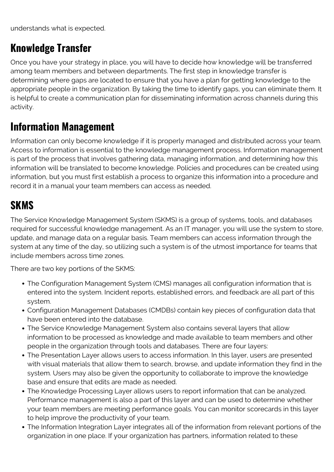understands what is expected.

#### **Knowledge Transfer**

Once you have your strategy in place, you will have to decide how knowledge will be transferred among team members and between departments. The first step in knowledge transfer is determining where gaps are located to ensure that you have a plan for getting knowledge to the appropriate people in the organization. By taking the time to identify gaps, you can eliminate them. It is helpful to create a communication plan for disseminating information across channels during this activity.

#### **Information Management**

Information can only become knowledge if it is properly managed and distributed across your team. Access to information is essential to the knowledge management process. Information management is part of the process that involves gathering data, managing information, and determining how this information will be translated to become knowledge. Policies and procedures can be created using information, but you must first establish a process to organize this information into a procedure and record it in a manual your team members can access as needed.

#### **SKMS**

The Service Knowledge Management System (SKMS) is a group of systems, tools, and databases required for successful knowledge management. As an IT manager, you will use the system to store, update, and manage data on a regular basis. Team members can access information through the system at any time of the day, so utilizing such a system is of the utmost importance for teams that include members across time zones.

There are two key portions of the SKMS:

- The Configuration Management System (CMS) manages all configuration information that is entered into the system. Incident reports, established errors, and feedback are all part of this system.
- Configuration Management Databases (CMDBs) contain key pieces of configuration data that have been entered into the database.
- The Service Knowledge Management System also contains several layers that allow information to be processed as knowledge and made available to team members and other people in the organization through tools and databases. There are four layers:
- The Presentation Layer allows users to access information. In this layer, users are presented with visual materials that allow them to search, browse, and update information they find in the system. Users may also be given the opportunity to collaborate to improve the knowledge base and ensure that edits are made as needed.
- The Knowledge Processing Layer allows users to report information that can be analyzed. Performance management is also a part of this layer and can be used to determine whether your team members are meeting performance goals. You can monitor scorecards in this layer to help improve the productivity of your team.
- The Information Integration Layer integrates all of the information from relevant portions of the organization in one place. If your organization has partners, information related to these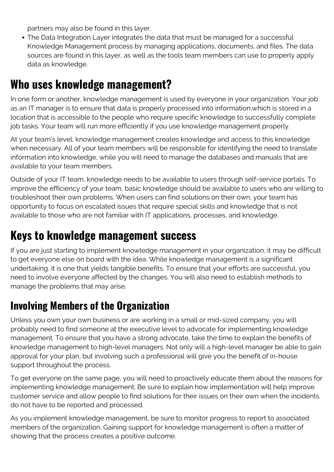partners may also be found in this layer.

The Data Integration Layer integrates the data that must be managed for a successful Knowledge Management process by managing applications, documents, and files. The data sources are found in this layer, as well as the tools team members can use to properly apply data as knowledge.

## **Who uses knowledge management?**

In one form or another, knowledge management is used by everyone in your organization. Your job as an IT manager is to ensure that data is properly processed into information,which is stored in a location that is accessible to the people who require specific knowledge to successfully complete job tasks. Your team will run more efficiently if you use knowledge management properly.

At your team's level, knowledge management creates knowledge and access to this knowledge when necessary. All of your team members will be responsible for identifying the need to translate information into knowledge, while you will need to manage the databases and manuals that are available to your team members.

Outside of your IT team, knowledge needs to be available to users through self-service portals. To improve the efficiency of your team, basic knowledge should be available to users who are willing to troubleshoot their own problems. When users can find solutions on their own, your team has opportunity to focus on escalated issues that require special skills and knowledge that is not available to those who are not familiar with IT applications, processes, and knowledge.

## **Keys to knowledge management success**

If you are just starting to implement knowledge management in your organization, it may be difficult to get everyone else on board with the idea. While knowledge management is a significant undertaking, it is one that yields tangible benefits. To ensure that your efforts are successful, you need to involve everyone affected by the changes. You will also need to establish methods to manage the problems that may arise.

### **Involving Members of the Organization**

Unless you own your own business or are working in a small or mid-sized company, you will probably need to find someone at the executive level to advocate for implementing knowledge management. To ensure that you have a strong advocate, take the time to explain the benefits of knowledge management to high-level managers. Not only will a high-level manager be able to gain approval for your plan, but involving such a professional will give you the benefit of in-house support throughout the process.

To get everyone on the same page, you will need to proactively educate them about the reasons for implementing knowledge management. Be sure to explain how implementation will help improve customer service and allow people to find solutions for their issues on their own when the incidents do not have to be reported and processed.

As you implement knowledge management, be sure to monitor progress to report to associated members of the organization. Gaining support for knowledge management is often a matter of showing that the process creates a positive outcome.